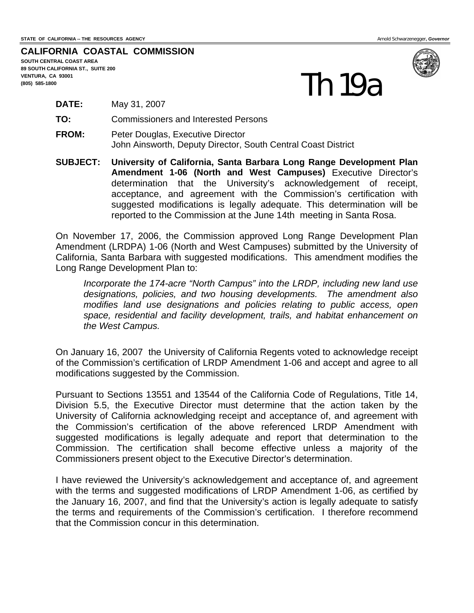**CALIFORNIA COASTAL COMMISSION** 

**SOUTH CENTRAL COAST AREA 89 SOUTH CALIFORNIA ST., SUITE 200 VENTURA, CA 93001 (805) 585-1800** 



- **DATE:** May 31, 2007
- **TO:** Commissioners and Interested Persons
- **FROM:** Peter Douglas, Executive Director John Ainsworth, Deputy Director, South Central Coast District
- **SUBJECT: University of California, Santa Barbara Long Range Development Plan Amendment 1-06 (North and West Campuses)** Executive Director's determination that the University's acknowledgement of receipt, acceptance, and agreement with the Commission's certification with suggested modifications is legally adequate. This determination will be reported to the Commission at the June 14th meeting in Santa Rosa.

On November 17, 2006, the Commission approved Long Range Development Plan Amendment (LRDPA) 1-06 (North and West Campuses) submitted by the University of California, Santa Barbara with suggested modifications. This amendment modifies the Long Range Development Plan to:

*Incorporate the 174-acre "North Campus" into the LRDP, including new land use designations, policies, and two housing developments. The amendment also modifies land use designations and policies relating to public access, open space, residential and facility development, trails, and habitat enhancement on the West Campus.* 

On January 16, 2007 the University of California Regents voted to acknowledge receipt of the Commission's certification of LRDP Amendment 1-06 and accept and agree to all modifications suggested by the Commission.

Pursuant to Sections 13551 and 13544 of the California Code of Regulations, Title 14, Division 5.5, the Executive Director must determine that the action taken by the University of California acknowledging receipt and acceptance of, and agreement with the Commission's certification of the above referenced LRDP Amendment with suggested modifications is legally adequate and report that determination to the Commission. The certification shall become effective unless a majority of the Commissioners present object to the Executive Director's determination.

I have reviewed the University's acknowledgement and acceptance of, and agreement with the terms and suggested modifications of LRDP Amendment 1-06, as certified by the January 16, 2007, and find that the University's action is legally adequate to satisfy the terms and requirements of the Commission's certification. I therefore recommend that the Commission concur in this determination.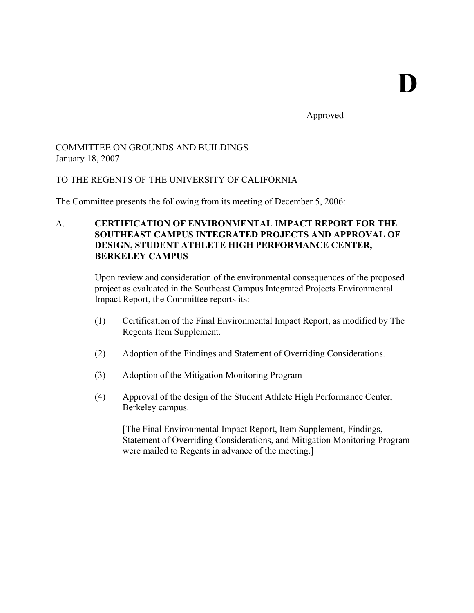Approved

# COMMITTEE ON GROUNDS AND BUILDINGS January 18, 2007

# TO THE REGENTS OF THE UNIVERSITY OF CALIFORNIA

The Committee presents the following from its meeting of December 5, 2006:

# A. **CERTIFICATION OF ENVIRONMENTAL IMPACT REPORT FOR THE SOUTHEAST CAMPUS INTEGRATED PROJECTS AND APPROVAL OF DESIGN, STUDENT ATHLETE HIGH PERFORMANCE CENTER, BERKELEY CAMPUS**

Upon review and consideration of the environmental consequences of the proposed project as evaluated in the Southeast Campus Integrated Projects Environmental Impact Report, the Committee reports its:

- (1) Certification of the Final Environmental Impact Report, as modified by The Regents Item Supplement.
- (2) Adoption of the Findings and Statement of Overriding Considerations.
- (3) Adoption of the Mitigation Monitoring Program
- (4) Approval of the design of the Student Athlete High Performance Center, Berkeley campus.

[The Final Environmental Impact Report, Item Supplement, Findings, Statement of Overriding Considerations, and Mitigation Monitoring Program were mailed to Regents in advance of the meeting.]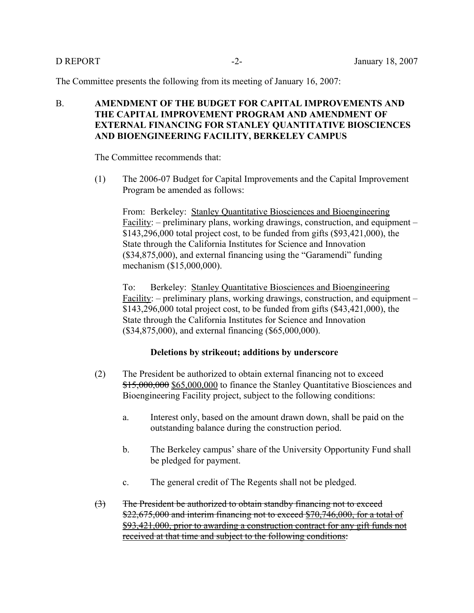The Committee presents the following from its meeting of January 16, 2007:

# B. **AMENDMENT OF THE BUDGET FOR CAPITAL IMPROVEMENTS AND THE CAPITAL IMPROVEMENT PROGRAM AND AMENDMENT OF EXTERNAL FINANCING FOR STANLEY QUANTITATIVE BIOSCIENCES AND BIOENGINEERING FACILITY, BERKELEY CAMPUS**

The Committee recommends that:

(1) The 2006-07 Budget for Capital Improvements and the Capital Improvement Program be amended as follows:

From: Berkeley: Stanley Quantitative Biosciences and Bioengineering Facility: – preliminary plans, working drawings, construction, and equipment – \$143,296,000 total project cost, to be funded from gifts (\$93,421,000), the State through the California Institutes for Science and Innovation (\$34,875,000), and external financing using the "Garamendi" funding mechanism (\$15,000,000).

To: Berkeley: Stanley Quantitative Biosciences and Bioengineering Facility: – preliminary plans, working drawings, construction, and equipment – \$143,296,000 total project cost, to be funded from gifts (\$43,421,000), the State through the California Institutes for Science and Innovation (\$34,875,000), and external financing (\$65,000,000).

### **Deletions by strikeout; additions by underscore**

- (2) The President be authorized to obtain external financing not to exceed \$15,000,000 \$65,000,000 to finance the Stanley Quantitative Biosciences and Bioengineering Facility project, subject to the following conditions:
	- a. Interest only, based on the amount drawn down, shall be paid on the outstanding balance during the construction period.
	- b. The Berkeley campus' share of the University Opportunity Fund shall be pledged for payment.
	- c. The general credit of The Regents shall not be pledged.
- (3) The President be authorized to obtain standby financing not to exceed  $$22,675,000$  and interim financing not to exceed  $$70,746,000$ , for a total of \$93,421,000, prior to awarding a construction contract for any gift funds not received at that time and subject to the following conditions: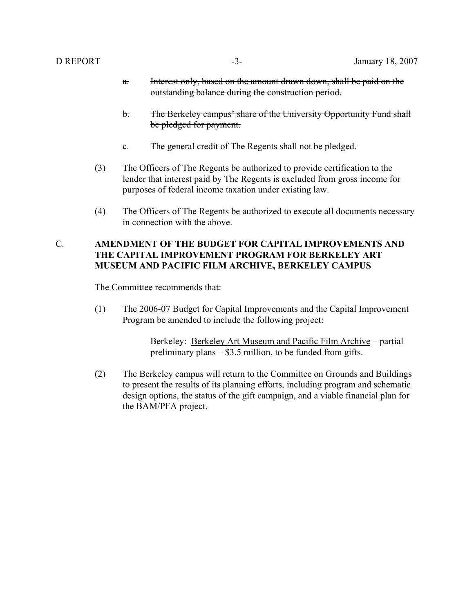- a. Interest only, based on the amount drawn down, shall be paid on the outstanding balance during the construction period.
- b. The Berkeley campus' share of the University Opportunity Fund shall be pledged for payment.
- c. The general credit of The Regents shall not be pledged.
- (3) The Officers of The Regents be authorized to provide certification to the lender that interest paid by The Regents is excluded from gross income for purposes of federal income taxation under existing law.
- (4) The Officers of The Regents be authorized to execute all documents necessary in connection with the above.

## C. **AMENDMENT OF THE BUDGET FOR CAPITAL IMPROVEMENTS AND THE CAPITAL IMPROVEMENT PROGRAM FOR BERKELEY ART MUSEUM AND PACIFIC FILM ARCHIVE, BERKELEY CAMPUS**

The Committee recommends that:

(1) The 2006-07 Budget for Capital Improvements and the Capital Improvement Program be amended to include the following project:

> Berkeley: Berkeley Art Museum and Pacific Film Archive – partial preliminary plans – \$3.5 million, to be funded from gifts.

(2) The Berkeley campus will return to the Committee on Grounds and Buildings to present the results of its planning efforts, including program and schematic design options, the status of the gift campaign, and a viable financial plan for the BAM/PFA project.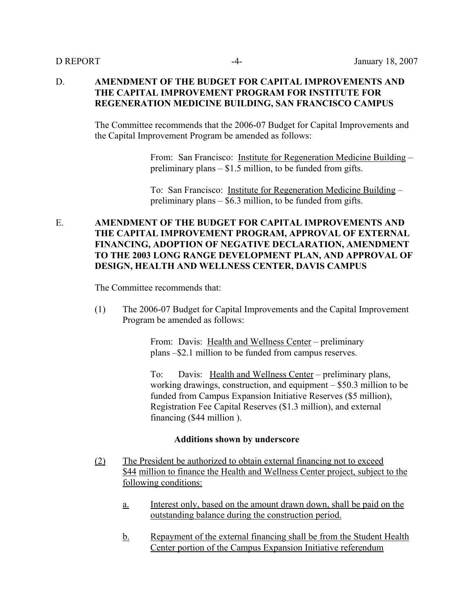## D. **AMENDMENT OF THE BUDGET FOR CAPITAL IMPROVEMENTS AND THE CAPITAL IMPROVEMENT PROGRAM FOR INSTITUTE FOR REGENERATION MEDICINE BUILDING, SAN FRANCISCO CAMPUS**

The Committee recommends that the 2006-07 Budget for Capital Improvements and the Capital Improvement Program be amended as follows:

> From: San Francisco: Institute for Regeneration Medicine Building – preliminary plans – \$1.5 million, to be funded from gifts.

To: San Francisco: Institute for Regeneration Medicine Building – preliminary plans – \$6.3 million, to be funded from gifts.

# E. **AMENDMENT OF THE BUDGET FOR CAPITAL IMPROVEMENTS AND THE CAPITAL IMPROVEMENT PROGRAM, APPROVAL OF EXTERNAL FINANCING, ADOPTION OF NEGATIVE DECLARATION, AMENDMENT TO THE 2003 LONG RANGE DEVELOPMENT PLAN, AND APPROVAL OF DESIGN, HEALTH AND WELLNESS CENTER, DAVIS CAMPUS**

The Committee recommends that:

(1) The 2006-07 Budget for Capital Improvements and the Capital Improvement Program be amended as follows:

> From: Davis: Health and Wellness Center – preliminary plans –\$2.1 million to be funded from campus reserves.

To: Davis: Health and Wellness Center – preliminary plans, working drawings, construction, and equipment – \$50.3 million to be funded from Campus Expansion Initiative Reserves (\$5 million), Registration Fee Capital Reserves (\$1.3 million), and external financing (\$44 million ).

### **Additions shown by underscore**

- (2) The President be authorized to obtain external financing not to exceed \$44 million to finance the Health and Wellness Center project, subject to the following conditions:
	- a. Interest only, based on the amount drawn down, shall be paid on the outstanding balance during the construction period.
	- b. Repayment of the external financing shall be from the Student Health Center portion of the Campus Expansion Initiative referendum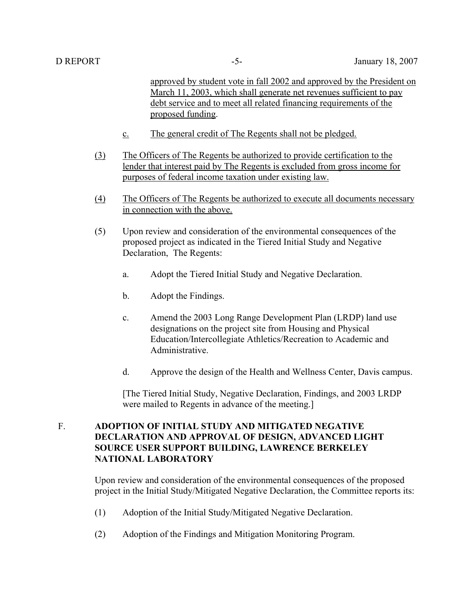approved by student vote in fall 2002 and approved by the President on March 11, 2003, which shall generate net revenues sufficient to pay debt service and to meet all related financing requirements of the proposed funding.

- c. The general credit of The Regents shall not be pledged.
- (3) The Officers of The Regents be authorized to provide certification to the lender that interest paid by The Regents is excluded from gross income for purposes of federal income taxation under existing law.
- (4) The Officers of The Regents be authorized to execute all documents necessary in connection with the above.
- (5) Upon review and consideration of the environmental consequences of the proposed project as indicated in the Tiered Initial Study and Negative Declaration, The Regents:
	- a. Adopt the Tiered Initial Study and Negative Declaration.
	- b. Adopt the Findings.
	- c. Amend the 2003 Long Range Development Plan (LRDP) land use designations on the project site from Housing and Physical Education/Intercollegiate Athletics/Recreation to Academic and Administrative.
	- d. Approve the design of the Health and Wellness Center, Davis campus.

[The Tiered Initial Study, Negative Declaration, Findings, and 2003 LRDP were mailed to Regents in advance of the meeting.]

# F. **ADOPTION OF INITIAL STUDY AND MITIGATED NEGATIVE DECLARATION AND APPROVAL OF DESIGN, ADVANCED LIGHT SOURCE USER SUPPORT BUILDING, LAWRENCE BERKELEY NATIONAL LABORATORY**

Upon review and consideration of the environmental consequences of the proposed project in the Initial Study/Mitigated Negative Declaration, the Committee reports its:

- (1) Adoption of the Initial Study/Mitigated Negative Declaration.
- (2) Adoption of the Findings and Mitigation Monitoring Program.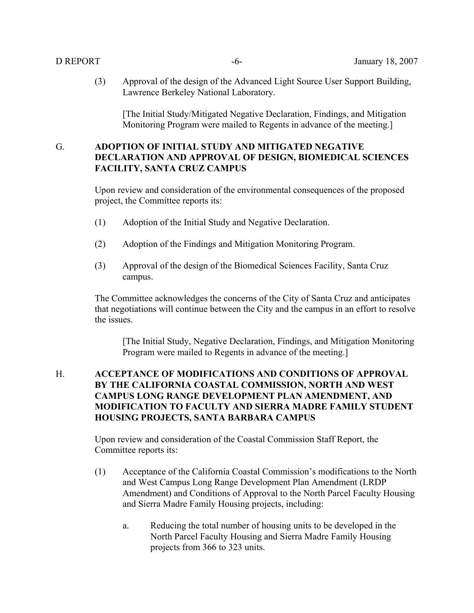(3) Approval of the design of the Advanced Light Source User Support Building, Lawrence Berkeley National Laboratory.

[The Initial Study/Mitigated Negative Declaration, Findings, and Mitigation Monitoring Program were mailed to Regents in advance of the meeting.]

# G. **ADOPTION OF INITIAL STUDY AND MITIGATED NEGATIVE DECLARATION AND APPROVAL OF DESIGN, BIOMEDICAL SCIENCES FACILITY, SANTA CRUZ CAMPUS**

Upon review and consideration of the environmental consequences of the proposed project, the Committee reports its:

- (1) Adoption of the Initial Study and Negative Declaration.
- (2) Adoption of the Findings and Mitigation Monitoring Program.
- (3) Approval of the design of the Biomedical Sciences Facility, Santa Cruz campus.

The Committee acknowledges the concerns of the City of Santa Cruz and anticipates that negotiations will continue between the City and the campus in an effort to resolve the issues.

[The Initial Study, Negative Declaration, Findings, and Mitigation Monitoring Program were mailed to Regents in advance of the meeting.]

### H. **ACCEPTANCE OF MODIFICATIONS AND CONDITIONS OF APPROVAL BY THE CALIFORNIA COASTAL COMMISSION, NORTH AND WEST CAMPUS LONG RANGE DEVELOPMENT PLAN AMENDMENT, AND MODIFICATION TO FACULTY AND SIERRA MADRE FAMILY STUDENT HOUSING PROJECTS, SANTA BARBARA CAMPUS**

Upon review and consideration of the Coastal Commission Staff Report, the Committee reports its:

- (1) Acceptance of the California Coastal Commission's modifications to the North and West Campus Long Range Development Plan Amendment (LRDP Amendment) and Conditions of Approval to the North Parcel Faculty Housing and Sierra Madre Family Housing projects, including:
	- a. Reducing the total number of housing units to be developed in the North Parcel Faculty Housing and Sierra Madre Family Housing projects from 366 to 323 units.